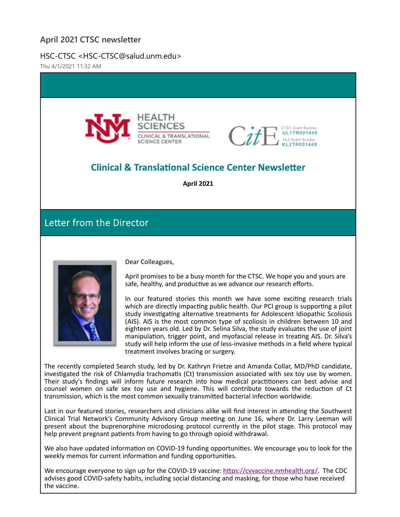### **April 2021 CTSC newsletter**

### HSC-CTSC <HSC-CTSC@salud.unm.edu>

Thu 4/1/2021 11:32 AM





## **Clinical & Translational Science Center Newsletter**

**April 2021**

# Letter from the Director



Dear Colleagues,

April promises to be a busy month for the CTSC. We hope you and yours are safe, healthy, and productive as we advance our research efforts.

In our featured stories this month we have some exciting research trials which are directly impacting public health. Our PCI group is supporting a pilot study investigating alternative treatments for Adolescent Idiopathic Scoliosis (AIS). AIS is the most common type of scoliosis in children between 10 and eighteen years old. Led by Dr. Selina Silva, the study evaluates the use of joint manipulation, trigger point, and myofascial release in treating AIS. Dr. Silva's study will help inform the use of less‐invasive methods in a field where typical treatment involves bracing or surgery.

The recently completed Search study, led by Dr. Kathryn Frietze and Amanda Collar, MD/PhD candidate, investigated the risk of Chlamydia trachomatis (Ct) transmission associated with sex toy use by women. Their study's findings will inform future research into how medical practitioners can best advise and counsel women on safe sex toy use and hygiene. This will contribute towards the reduction of Ct transmission, which is the most common sexually transmitted bacterial infection worldwide.

Last in our featured stories, researchers and clinicians alike will find interest in attending the Southwest Clinical Trial Network's Community Advisory Group meeting on June 16, where Dr. Larry Leeman will present about the buprenorphine microdosing protocol currently in the pilot stage. This protocol may help prevent pregnant patients from having to go through opioid withdrawal.

We also have updated information on COVID-19 funding opportunities. We encourage you to look for the weekly memos for current information and funding opportunities.

We encourage everyone to sign up for the COVID-19 vaccine: https://cvvaccine.nmhealth.org/. The CDC advises good COVID‐safety habits, including social distancing and masking, for those who have received the vaccine.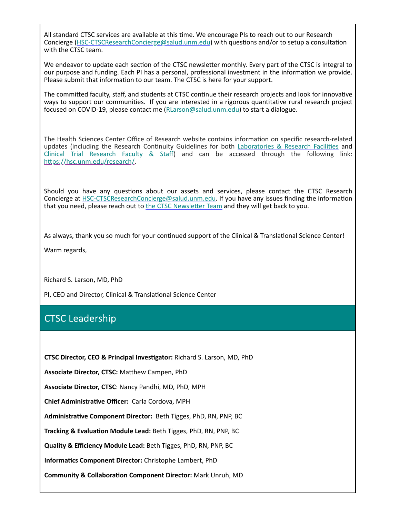All standard CTSC services are available at this time. We encourage PIs to reach out to our Research Concierge (HSC-CTSCResearchConcierge@salud.unm.edu) with questions and/or to setup a consultation with the CTSC team.

We endeavor to update each section of the CTSC newsletter monthly. Every part of the CTSC is integral to our purpose and funding. Each PI has a personal, professional investment in the information we provide. Please submit that information to our team. The CTSC is here for your support.

The committed faculty, staff, and students at CTSC continue their research projects and look for innovative ways to support our communities. If you are interested in a rigorous quantitative rural research project focused on COVID‐19, please contact me (RLarson@salud.unm.edu) to start a dialogue.

The Health Sciences Center Office of Research website contains information on specific research-related updates (including the Research Continuity Guidelines for both Laboratories & Research Facilities and Clinical Trial Research Faculty & Staff) and can be accessed through the following link: https://hsc.unm.edu/research/.

Should you have any questions about our assets and services, please contact the CTSC Research Concierge at HSC-CTSCResearchConcierge@salud.unm.edu. If you have any issues finding the information that you need, please reach out to the CTSC Newsletter Team and they will get back to you.

As always, thank you so much for your continued support of the Clinical & Translational Science Center!

Warm regards,

Richard S. Larson, MD, PhD

PI, CEO and Director, Clinical & Translational Science Center

## **CTSC Leadership**

**CTSC Director, CEO & Principal Investigator:** Richard S. Larson, MD, PhD

**Associate Director, CTSC:** MaƩhew Campen, PhD

**Associate Director, CTSC**: Nancy Pandhi, MD, PhD, MPH

**Chief AdministraƟve Officer:** Carla Cordova, MPH

**AdministraƟve Component Director:** Beth Tigges, PhD, RN, PNP, BC

**Tracking & Evaluation Module Lead: Beth Tigges, PhD, RN, PNP, BC** 

**Quality & Efficiency Module Lead:** Beth Tigges, PhD, RN, PNP, BC

**InformaƟcs Component Director:** Christophe Lambert, PhD

**Community & CollaboraƟon Component Director:** Mark Unruh, MD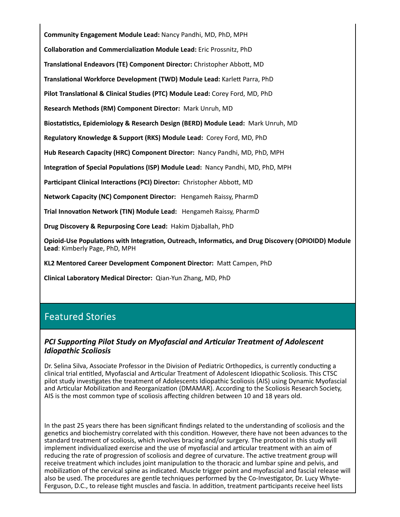**Community Engagement Module Lead:** Nancy Pandhi, MD, PhD, MPH **CollaboraƟon and CommercializaƟon Module Lead:** Eric Prossnitz, PhD **TranslaƟonal Endeavors (TE) Component Director:** Christopher AbboƩ, MD **TranslaƟonal Workforce Development (TWD) Module Lead:** KarleƩ Parra, PhD **Pilot TranslaƟonal & Clinical Studies (PTC) Module Lead:** Corey Ford, MD, PhD **Research Methods (RM) Component Director:** Mark Unruh, MD **BiostaƟsƟcs, Epidemiology & Research Design (BERD) Module Lead:** Mark Unruh, MD **Regulatory Knowledge & Support (RKS) Module Lead:** Corey Ford, MD, PhD **Hub Research Capacity (HRC) Component Director:** Nancy Pandhi, MD, PhD, MPH **IntegraƟon of Special PopulaƟons (ISP) Module Lead:** Nancy Pandhi, MD, PhD, MPH **Participant Clinical Interactions (PCI) Director:** Christopher Abbott, MD **Network Capacity (NC) Component Director:** Hengameh Raissy, PharmD **Trial InnovaƟon Network (TIN) Module Lead:** Hengameh Raissy, PharmD **Drug Discovery & Repurposing Core Lead:** Hakim Djaballah, PhD Opioid-Use Populations with Integration, Outreach, Informatics, and Drug Discovery (OPIOIDD) Module **Lead**: Kimberly Page, PhD, MPH **KL2 Mentored Career Development Component Director:** MaƩ Campen, PhD

**Clinical Laboratory Medical Director:** Qian‐Yun Zhang, MD, PhD

## **Featured Stories**

### *PCI SupporƟng Pilot Study on Myofascial and ArƟcular Treatment of Adolescent Idiopathic Scoliosis*

Dr. Selina Silva, Associate Professor in the Division of Pediatric Orthopedics, is currently conducting a clinical trial entitled, Myofascial and Articular Treatment of Adolescent Idiopathic Scoliosis. This CTSC pilot study investigates the treatment of Adolescents Idiopathic Scoliosis (AIS) using Dynamic Myofascial and Articular Mobilization and Reorganization (DMAMAR). According to the Scoliosis Research Society, AIS is the most common type of scoliosis affecting children between 10 and 18 years old.

In the past 25 years there has been significant findings related to the understanding of scoliosis and the genetics and biochemistry correlated with this condition. However, there have not been advances to the standard treatment of scoliosis, which involves bracing and/or surgery. The protocol in this study will implement individualized exercise and the use of myofascial and articular treatment with an aim of reducing the rate of progression of scoliosis and degree of curvature. The active treatment group will receive treatment which includes joint manipulation to the thoracic and lumbar spine and pelvis, and mobilization of the cervical spine as indicated. Muscle trigger point and myofascial and fascial release will also be used. The procedures are gentle techniques performed by the Co-Investigator, Dr. Lucy Whyte-Ferguson, D.C., to release tight muscles and fascia. In addition, treatment participants receive heel lists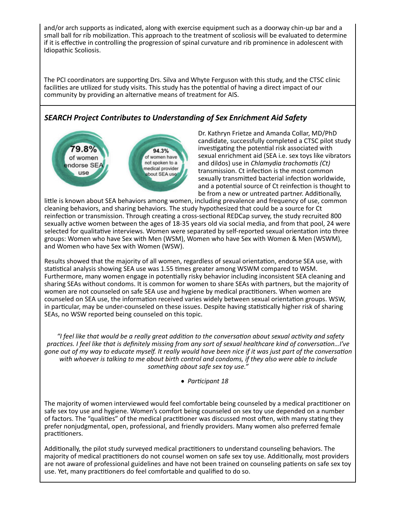and/or arch supports as indicated, along with exercise equipment such as a doorway chin‐up bar and a small ball for rib mobilization. This approach to the treatment of scoliosis will be evaluated to determine if it is effective in controlling the progression of spinal curvature and rib prominence in adolescent with Idiopathic Scoliosis.

The PCI coordinators are supporting Drs. Silva and Whyte Ferguson with this study, and the CTSC clinic facilities are utilized for study visits. This study has the potential of having a direct impact of our community by providing an alternative means of treatment for AIS.

### *SEARCH Project Contributes to Understanding of Sex Enrichment Aid Safety*



Dr. Kathryn Frietze and Amanda Collar, MD/PhD candidate, successfully completed a CTSC pilot study investigating the potential risk associated with sexual enrichment aid (SEA i.e. sex toys like vibrators and dildos) use in *Chlamydia trachomaƟs (Ct)* transmission. Ct infection is the most common sexually transmitted bacterial infection worldwide, and a potential source of Ct reinfection is thought to be from a new or untreated partner. Additionally,

little is known about SEA behaviors among women, including prevalence and frequency of use, common cleaning behaviors, and sharing behaviors. The study hypothesized that could be a source for Ct reinfection or transmission. Through creating a cross-sectional REDCap survey, the study recruited 800 sexually active women between the ages of 18-35 years old via social media, and from that pool, 24 were selected for qualitative interviews. Women were separated by self-reported sexual orientation into three groups: Women who have Sex with Men (WSM), Women who have Sex with Women & Men (WSWM), and Women who have Sex with Women (WSW).

Results showed that the majority of all women, regardless of sexual orientation, endorse SEA use, with statistical analysis showing SEA use was 1.55 times greater among WSWM compared to WSM. Furthermore, many women engage in potentially risky behavior including inconsistent SEA cleaning and sharing SEAs without condoms. It is common for women to share SEAs with partners, but the majority of women are not counseled on safe SEA use and hygiene by medical practitioners. When women are counseled on SEA use, the information received varies widely between sexual orientation groups. WSW, in particular, may be under-counseled on these issues. Despite having statistically higher risk of sharing SEAs, no WSW reported being counseled on this topic.

"I feel like that would be a really great addition to the conversation about sexual activity and safety practices. I feel like that is definitely missing from any sort of sexual healthcare kind of conversation...I've gone out of my way to educate myself. It really would have been nice if it was just part of the conversation *with whoever is talking to me about birth control and condoms, if they also were able to include something about safe sex toy use."*

*ParƟcipant 18*

The majority of women interviewed would feel comfortable being counseled by a medical practitioner on safe sex toy use and hygiene. Women's comfort being counseled on sex toy use depended on a number of factors. The "qualities" of the medical practitioner was discussed most often, with many stating they prefer nonjudgmental, open, professional, and friendly providers. Many women also preferred female practitioners.

Additionally, the pilot study surveyed medical practitioners to understand counseling behaviors. The majority of medical practitioners do not counsel women on safe sex toy use. Additionally, most providers are not aware of professional guidelines and have not been trained on counseling patients on safe sex toy use. Yet, many practitioners do feel comfortable and qualified to do so.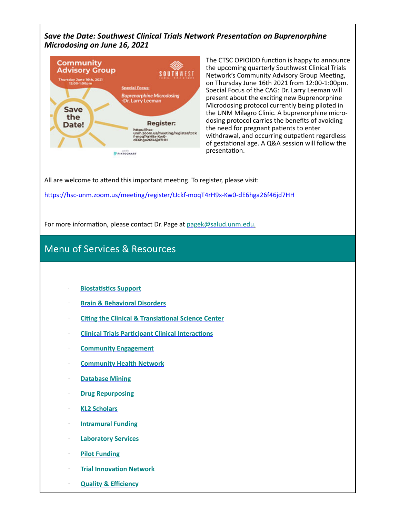*Save the Date: Southwest Clinical Trials Network PresentaƟon on Buprenorphine Microdosing on June 16, 2021*



The CTSC OPIOIDD function is happy to announce the upcoming quarterly Southwest Clinical Trials Network's Community Advisory Group Meeting, on Thursday June 16th 2021 from 12:00‐1:00pm. Special Focus of the CAG: Dr. Larry Leeman will present about the exciting new Buprenorphine Microdosing protocol currently being piloted in the UNM Milagro Clinic. A buprenorphine micro‐ dosing protocol carries the benefits of avoiding the need for pregnant patients to enter withdrawal, and occurring outpatient regardless of gestational age. A Q&A session will follow the presentation.

All are welcome to attend this important meeting. To register, please visit:

https://hsc-unm.zoom.us/meeting/register/tJckf-moqT4rH9x-Kw0-dE6hga26f46jd7HH

For more information, please contact Dr. Page at pagek@salud.unm.edu.

### **Menu of Services & Resources**

- ꞏ **BiostaƟsƟcs Support**
- ꞏ **Brain & Behavioral Disorders**
- ꞏ **CiƟng the Clinical & TranslaƟonal Science Center**
- ꞏ **Clinical Trials ParƟcipant Clinical InteracƟons**
- ꞏ **Community Engagement**
- ꞏ **Community Health Network**
- ꞏ **Database Mining**
- ꞏ **Drug Repurposing**
- ꞏ **KL2 Scholars**
- **Intramural Funding**
- ꞏ **Laboratory Services**
- ꞏ **Pilot Funding**
- ꞏ **Trial InnovaƟon Network**
- ꞏ **Quality & Efficiency**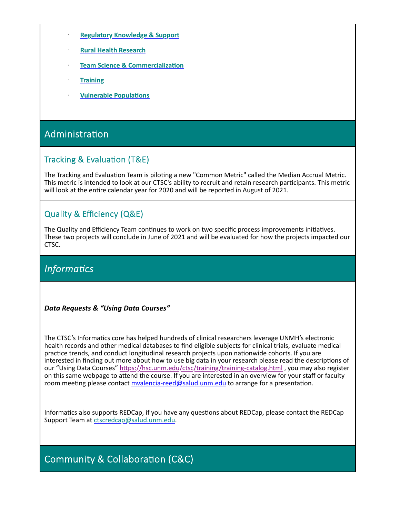- ꞏ **Regulatory Knowledge & Support**
- ꞏ **Rural Health Research**
- **Team Science & Commercialization**
- ꞏ **Training**
- **Vulnerable Populations**

# Administration

## Tracking & Evaluation (T&E)

The Tracking and Evaluation Team is piloting a new "Common Metric" called the Median Accrual Metric. This metric is intended to look at our CTSC's ability to recruit and retain research participants. This metric will look at the entire calendar year for 2020 and will be reported in August of 2021.

## Quality & Efficiency (Q&E)

The Quality and Efficiency Team continues to work on two specific process improvements initiatives. These two projects will conclude in June of 2021 and will be evaluated for how the projects impacted our CTSC.

## **Informatics**

#### *Data Requests & "Using Data Courses"*

The CTSC's Informatics core has helped hundreds of clinical researchers leverage UNMH's electronic health records and other medical databases to find eligible subjects for clinical trials, evaluate medical practice trends, and conduct longitudinal research projects upon nationwide cohorts. If you are interested in finding out more about how to use big data in your research please read the descriptions of our "Using Data Courses" https://hsc.unm.edu/ctsc/training/training-catalog.html, you may also register on this same webpage to attend the course. If you are interested in an overview for your staff or faculty zoom meeting please contact myalencia-reed@salud.unm.edu to arrange for a presentation.

Informatics also supports REDCap, if you have any questions about REDCap, please contact the REDCap Support Team at ctscredcap@salud.unm.edu.

## **Community & Collaboration (C&C)**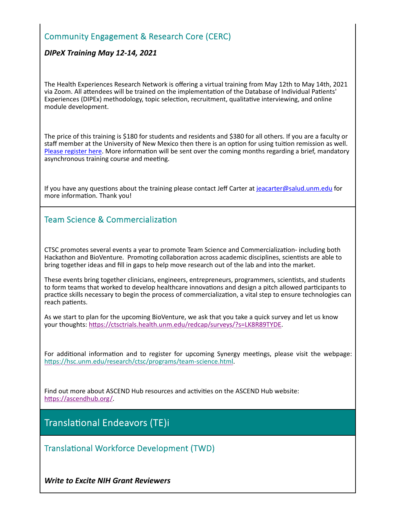### Community Engagement & Research Core (CERC)

#### *DIPeX Training May 12‐14, 2021*

The Health Experiences Research Network is offering a virtual training from May 12th to May 14th, 2021 via Zoom. All attendees will be trained on the implementation of the Database of Individual Patients' Experiences (DIPEx) methodology, topic selection, recruitment, qualitative interviewing, and online module development.

The price of this training is \$180 for students and residents and \$380 for all others. If you are a faculty or staff member at the University of New Mexico then there is an option for using tuition remission as well. Please register here. More information will be sent over the coming months regarding a brief, mandatory asynchronous training course and meeting.

If you have any questions about the training please contact Jeff Carter at jeacarter@salud.unm.edu for more information. Thank you!

### Team Science & Commercialization

CTSC promotes several events a year to promote Team Science and Commercialization-including both Hackathon and BioVenture. Promoting collaboration across academic disciplines, scientists are able to bring together ideas and fill in gaps to help move research out of the lab and into the market.

These events bring together clinicians, engineers, entrepreneurs, programmers, scientists, and students to form teams that worked to develop healthcare innovations and design a pitch allowed participants to practice skills necessary to begin the process of commercialization, a vital step to ensure technologies can reach patients.

As we start to plan for the upcoming BioVenture, we ask that you take a quick survey and let us know your thoughts: https://ctsctrials.health.unm.edu/redcap/surveys/?s=LK8R89TYDE.

For additional information and to register for upcoming Synergy meetings, please visit the webpage: https://hsc.unm.edu/research/ctsc/programs/team-science.html.

Find out more about ASCEND Hub resources and activities on the ASCEND Hub website: https://ascendhub.org/.

**Translational Endeavors (TE)i** 

Translational Workforce Development (TWD)

*Write to Excite NIH Grant Reviewers*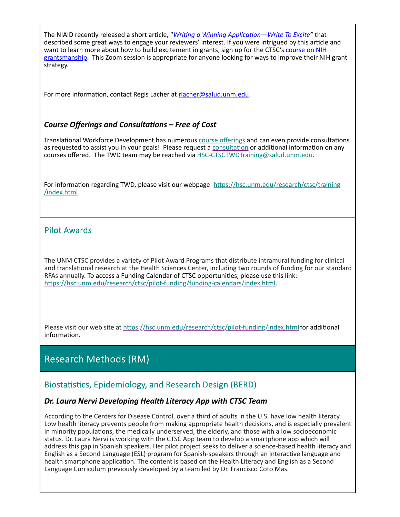The NIAID recently released a short arƟcle, "*WriƟng a Winning ApplicaƟon—Write To Excite"* that described some great ways to engage your reviewers' interest. If you were intrigued by this article and want to learn more about how to build excitement in grants, sign up for the CTSC's course on NIH grantsmanship. This Zoom session is appropriate for anyone looking for ways to improve their NIH grant strategy.

For more information, contact Regis Lacher at rlacher@salud.unm.edu.

#### *Course Offerings and ConsultaƟons – Free of Cost*

Translational Workforce Development has numerous course offerings and can even provide consultations as requested to assist you in your goals! Please request a consultation or additional information on any courses offered. The TWD team may be reached via HSC-CTSCTWDTraining@salud.unm.edu.

For information regarding TWD, please visit our webpage: https://hsc.unm.edu/research/ctsc/training /index.html.

### Pilot Awards

The UNM CTSC provides a variety of Pilot Award Programs that distribute intramural funding for clinical and translational research at the Health Sciences Center, including two rounds of funding for our standard RFAs annually. To access a Funding Calendar of CTSC opportunities, please use this link: https://hsc.unm.edu/research/ctsc/pilot-funding/funding-calendars/index.html.

Please visit our web site at https://hsc.unm.edu/research/ctsc/pilot-funding/index.html for additional information.

## **Research Methods (RM)**

### Biostatistics, Epidemiology, and Research Design (BERD)

### *Dr. Laura Nervi Developing Health Literacy App with CTSC Team*

According to the Centers for Disease Control, over a third of adults in the U.S. have low health literacy. Low health literacy prevents people from making appropriate health decisions, and is especially prevalent in minority populations, the medically underserved, the elderly, and those with a low socioeconomic status. Dr. Laura Nervi is working with the CTSC App team to develop a smartphone app which will address this gap in Spanish speakers. Her pilot project seeks to deliver a science‐based health literacy and English as a Second Language (ESL) program for Spanish-speakers through an interactive language and health smartphone application. The content is based on the Health Literacy and English as a Second Language Curriculum previously developed by a team led by Dr. Francisco Coto Mas.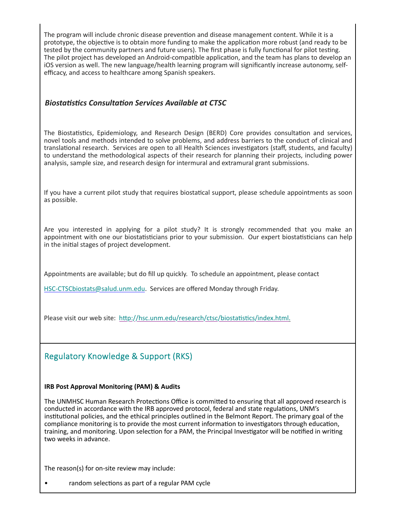The program will include chronic disease prevention and disease management content. While it is a prototype, the objective is to obtain more funding to make the application more robust (and ready to be tested by the community partners and future users). The first phase is fully functional for pilot testing. The pilot project has developed an Android-compatible application, and the team has plans to develop an iOS version as well. The new language/health learning program will significantly increase autonomy, self‐ efficacy, and access to healthcare among Spanish speakers.

#### *BiostaƟsƟcs ConsultaƟon Services Available at CTSC*

The Biostatistics, Epidemiology, and Research Design (BERD) Core provides consultation and services, novel tools and methods intended to solve problems, and address barriers to the conduct of clinical and translational research. Services are open to all Health Sciences investigators (staff, students, and faculty) to understand the methodological aspects of their research for planning their projects, including power analysis, sample size, and research design for intermural and extramural grant submissions.

If you have a current pilot study that requires biostatical support, please schedule appointments as soon as possible.

Are you interested in applying for a pilot study? It is strongly recommended that you make an appointment with one our biostatisticians prior to your submission. Our expert biostatisticians can help in the initial stages of project development.

Appointments are available; but do fill up quickly. To schedule an appointment, please contact

HSC-CTSCbiostats@salud.unm.edu. Services are offered Monday through Friday.

Please visit our web site: http://hsc.unm.edu/research/ctsc/biostatistics/index.html.

## Regulatory Knowledge & Support (RKS)

#### **IRB Post Approval Monitoring (PAM) & Audits**

The UNMHSC Human Research Protections Office is committed to ensuring that all approved research is conducted in accordance with the IRB approved protocol, federal and state regulations, UNM's institutional policies, and the ethical principles outlined in the Belmont Report. The primary goal of the compliance monitoring is to provide the most current information to investigators through education, training, and monitoring. Upon selection for a PAM, the Principal Investigator will be notified in writing two weeks in advance.

The reason(s) for on‐site review may include:

random selections as part of a regular PAM cycle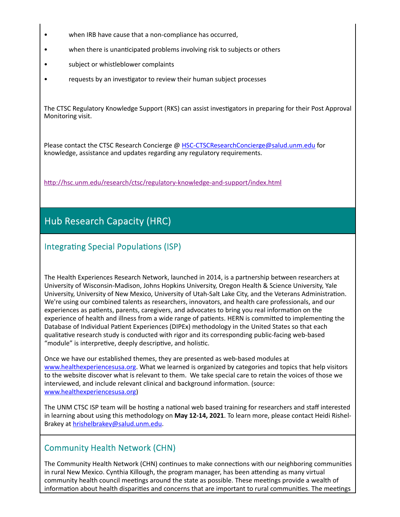- **ICC** when IRB have cause that a non-compliance has occurred,
- when there is unanticipated problems involving risk to subjects or others
- subject or whistleblower complaints
- requests by an investigator to review their human subject processes

The CTSC Regulatory Knowledge Support (RKS) can assist investigators in preparing for their Post Approval Monitoring visit.

Please contact the CTSC Research Concierge @ HSC‐CTSCResearchConcierge@salud.unm.edu for knowledge, assistance and updates regarding any regulatory requirements.

http://hsc.unm.edu/research/ctsc/regulatory-knowledge-and-support/index.html

# Hub Research Capacity (HRC)

### Integrating Special Populations (ISP)

The Health Experiences Research Network, launched in 2014, is a partnership between researchers at University of Wisconsin‐Madison, Johns Hopkins University, Oregon Health & Science University, Yale University, University of New Mexico, University of Utah-Salt Lake City, and the Veterans Administration. We're using our combined talents as researchers, innovators, and health care professionals, and our experiences as patients, parents, caregivers, and advocates to bring you real information on the experience of health and illness from a wide range of patients. HERN is committed to implementing the Database of Individual Patient Experiences (DIPEx) methodology in the United States so that each qualitative research study is conducted with rigor and its corresponding public-facing web-based "module" is interpretive, deeply descriptive, and holistic.

Once we have our established themes, they are presented as web‐based modules at www.healthexperiencesusa.org. What we learned is organized by categories and topics that help visitors to the website discover what is relevant to them. We take special care to retain the voices of those we interviewed, and include relevant clinical and background information. (source: www.healthexperiencesusa.org)

The UNM CTSC ISP team will be hosting a national web based training for researchers and staff interested in learning about using this methodology on **May 12‐14, 2021**. To learn more, please contact Heidi Rishel‐ Brakey at hrishelbrakey@salud.unm.edu.

### Community Health Network (CHN)

The Community Health Network (CHN) continues to make connections with our neighboring communities in rural New Mexico. Cynthia Killough, the program manager, has been attending as many virtual community health council meetings around the state as possible. These meetings provide a wealth of information about health disparities and concerns that are important to rural communities. The meetings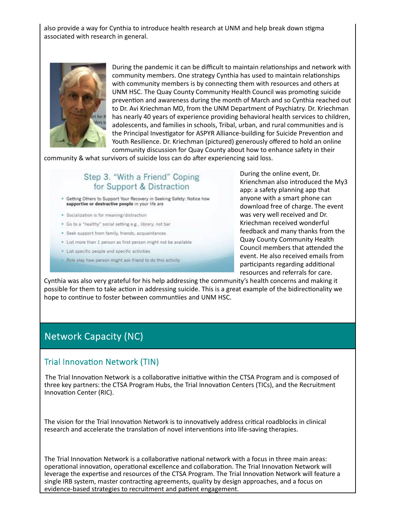also provide a way for Cynthia to introduce health research at UNM and help break down stigma associated with research in general.



During the pandemic it can be difficult to maintain relationships and network with community members. One strategy Cynthia has used to maintain relationships with community members is by connecting them with resources and others at UNM HSC. The Quay County Community Health Council was promoting suicide prevention and awareness during the month of March and so Cynthia reached out to Dr. Avi Kriechman MD, from the UNM Department of Psychiatry. Dr. Kriechman has nearly 40 years of experience providing behavioral health services to children, adolescents, and families in schools, Tribal, urban, and rural communities and is the Principal Investigator for ASPYR Alliance-building for Suicide Prevention and Youth Resilience. Dr. Kriechman (pictured) generously offered to hold an online community discussion for Quay County about how to enhance safety in their

community & what survivors of suicide loss can do after experiencing said loss.

### Step 3. "With a Friend" Coping for Support & Distraction

- Getting Others to Support Your Recovery in Seeking Safety: Notice how supportive or destructive people in your life are
- \* Socialization is for meaning/distraction
- . Go to a "healthy" social setting e.g., library, not bar
- \* Seek support from family, friends, acquaintances
- . List more than I person as first person might not be available
- \* List specific people and specific activities
- Role play how person might ask friend to do this activity

During the online event, Dr. Krienchman also introduced the My3 app: a safety planning app that anyone with a smart phone can download free of charge. The event was very well received and Dr. Kriechman received wonderful feedback and many thanks from the Quay County Community Health Council members that attended the event. He also received emails from participants regarding additional resources and referrals for care.

Cynthia was also very grateful for his help addressing the community's health concerns and making it possible for them to take action in addressing suicide. This is a great example of the bidirectionality we hope to continue to foster between communtiies and UNM HSC.

## **Network Capacity (NC)**

### Trial Innovation Network (TIN)

The Trial Innovation Network is a collaborative initiative within the CTSA Program and is composed of three key partners: the CTSA Program Hubs, the Trial Innovation Centers (TICs), and the Recruitment Innovation Center (RIC).

The vision for the Trial Innovation Network is to innovatively address critical roadblocks in clinical research and accelerate the translation of novel interventions into life-saving therapies.

The Trial Innovation Network is a collaborative national network with a focus in three main areas: operational innovation, operational excellence and collaboration. The Trial Innovation Network will leverage the expertise and resources of the CTSA Program. The Trial Innovation Network will feature a single IRB system, master contracting agreements, quality by design approaches, and a focus on evidence-based strategies to recruitment and patient engagement.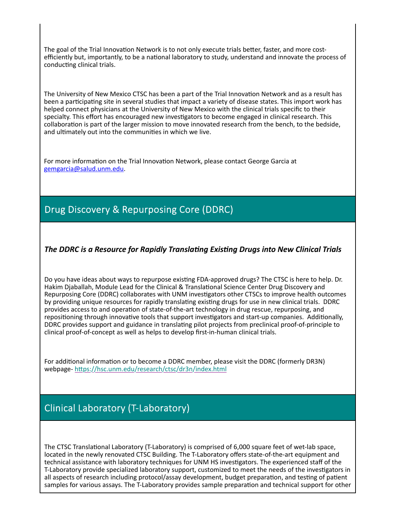The goal of the Trial Innovation Network is to not only execute trials better, faster, and more costefficiently but, importantly, to be a national laboratory to study, understand and innovate the process of conducting clinical trials.

The University of New Mexico CTSC has been a part of the Trial Innovation Network and as a result has been a participating site in several studies that impact a variety of disease states. This import work has helped connect physicians at the University of New Mexico with the clinical trials specific to their specialty. This effort has encouraged new investigators to become engaged in clinical research. This collaboration is part of the larger mission to move innovated research from the bench, to the bedside, and ultimately out into the communities in which we live.

For more information on the Trial Innovation Network, please contact George Garcia at gemgarcia@salud.unm.edu.

## Drug Discovery & Repurposing Core (DDRC)

### *The DDRC is a Resource for Rapidly TranslaƟng ExisƟng Drugs into New Clinical Trials*

Do you have ideas about ways to repurpose existing FDA-approved drugs? The CTSC is here to help. Dr. Hakim Djaballah, Module Lead for the Clinical & Translational Science Center Drug Discovery and Repurposing Core (DDRC) collaborates with UNM investigators other CTSCs to improve health outcomes by providing unique resources for rapidly translating existing drugs for use in new clinical trials. DDRC provides access to and operation of state-of-the-art technology in drug rescue, repurposing, and repositioning through innovative tools that support investigators and start-up companies. Additionally, DDRC provides support and guidance in translating pilot projects from preclinical proof-of-principle to clinical proof‐of‐concept as well as helps to develop first‐in‐human clinical trials.

For additional information or to become a DDRC member, please visit the DDRC (formerly DR3N) webpage- https://hsc.unm.edu/research/ctsc/dr3n/index.html

## **Clinical Laboratory (T-Laboratory)**

The CTSC Translational Laboratory (T-Laboratory) is comprised of 6,000 square feet of wet-lab space, located in the newly renovated CTSC Building. The T‐Laboratory offers state‐of‐the‐art equipment and technical assistance with laboratory techniques for UNM HS investigators. The experienced staff of the T-Laboratory provide specialized laboratory support, customized to meet the needs of the investigators in all aspects of research including protocol/assay development, budget preparation, and testing of patient samples for various assays. The T-Laboratory provides sample preparation and technical support for other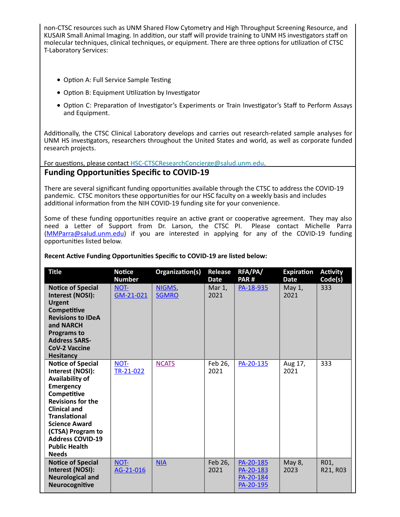non‐CTSC resources such as UNM Shared Flow Cytometry and High Throughput Screening Resource, and KUSAIR Small Animal Imaging. In addition, our staff will provide training to UNM HS investigators staff on molecular techniques, clinical techniques, or equipment. There are three options for utilization of CTSC T‐Laboratory Services:

- Option A: Full Service Sample Testing
- Option B: Equipment Utilization by Investigator
- Option C: Preparation of Investigator's Experiments or Train Investigator's Staff to Perform Assays and Equipment.

Additionally, the CTSC Clinical Laboratory develops and carries out research-related sample analyses for UNM HS invesƟgators, researchers throughout the United States and world, as well as corporate funded research projects.

For questions, please contact HSC-CTSCResearchConcierge@salud.unm.edu.

### **Funding OpportuniƟes Specific to COVID‐19**

There are several significant funding opportunities available through the CTSC to address the COVID-19 pandemic. CTSC monitors these opportunities for our HSC faculty on a weekly basis and includes additional information from the NIH COVID-19 funding site for your convenience.

Some of these funding opportunities require an active grant or cooperative agreement. They may also need a Letter of Support from Dr. Larson, the CTSC PI. Please contact Michelle Parra (MMParra@salud.unm.edu) if you are interested in applying for any of the COVID‐19 funding opportunities listed below.

| <b>Title</b>                                                                                                                                                                                                                                                                                  | <b>Notice</b><br><b>Number</b> | Organization(s)        | Release<br>Date | RFA/PA/<br>PAR#                                  | <b>Expiration</b><br><b>Date</b> | <b>Activity</b><br>Code(s) |
|-----------------------------------------------------------------------------------------------------------------------------------------------------------------------------------------------------------------------------------------------------------------------------------------------|--------------------------------|------------------------|-----------------|--------------------------------------------------|----------------------------------|----------------------------|
| <b>Notice of Special</b><br>Interest (NOSI):<br><b>Urgent</b><br>Competitive<br><b>Revisions to IDeA</b><br>and NARCH<br><b>Programs to</b><br><b>Address SARS-</b><br><b>CoV-2 Vaccine</b><br><b>Hesitancy</b>                                                                               | NOT-<br>GM-21-021              | NIGMS,<br><b>SGMRO</b> | Mar 1,<br>2021  | PA-18-935                                        | May 1,<br>2021                   | 333                        |
| <b>Notice of Special</b><br>Interest (NOSI):<br>Availability of<br><b>Emergency</b><br>Competitive<br><b>Revisions for the</b><br><b>Clinical and</b><br><b>Translational</b><br><b>Science Award</b><br>(CTSA) Program to<br><b>Address COVID-19</b><br><b>Public Health</b><br><b>Needs</b> | NOT-<br>TR-21-022              | <b>NCATS</b>           | Feb 26,<br>2021 | PA-20-135                                        | Aug 17,<br>2021                  | 333                        |
| <b>Notice of Special</b><br>Interest (NOSI):<br><b>Neurological and</b><br>Neurocognitive                                                                                                                                                                                                     | NOT-<br>AG-21-016              | NIA                    | Feb 26,<br>2021 | PA-20-185<br>PA-20-183<br>PA-20-184<br>PA-20-195 | May 8,<br>2023                   | R01,<br>R21, R03           |

#### **Recent AcƟve Funding OpportuniƟes Specific to COVID‐19 are listed below:**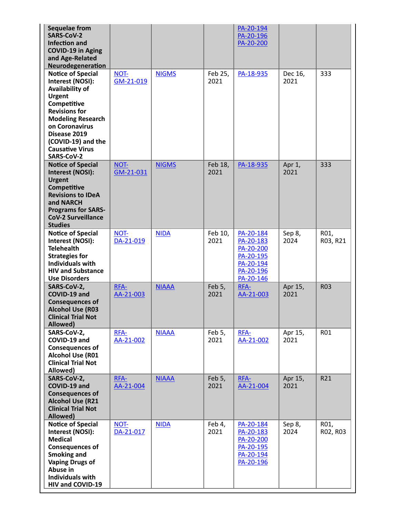| <b>Sequelae from</b><br>SARS-CoV-2<br><b>Infection and</b><br><b>COVID-19 in Aging</b><br>and Age-Related<br>Neurodegeneration                                                                                                                      |                   |              |                 | PA-20-194<br>PA-20-196<br>PA-20-200                                                     |                 |                  |
|-----------------------------------------------------------------------------------------------------------------------------------------------------------------------------------------------------------------------------------------------------|-------------------|--------------|-----------------|-----------------------------------------------------------------------------------------|-----------------|------------------|
| <b>Notice of Special</b><br>Interest (NOSI):<br>Availability of<br><b>Urgent</b><br>Competitive<br><b>Revisions for</b><br><b>Modeling Research</b><br>on Coronavirus<br>Disease 2019<br>(COVID-19) and the<br><b>Causative Virus</b><br>SARS-CoV-2 | NOT-<br>GM-21-019 | <b>NIGMS</b> | Feb 25,<br>2021 | PA-18-935                                                                               | Dec 16,<br>2021 | 333              |
| <b>Notice of Special</b><br>Interest (NOSI):<br><b>Urgent</b><br>Competitive<br><b>Revisions to IDeA</b><br>and NARCH<br><b>Programs for SARS-</b><br><b>CoV-2 Surveillance</b><br><b>Studies</b>                                                   | NOT-<br>GM-21-031 | <b>NIGMS</b> | Feb 18,<br>2021 | PA-18-935                                                                               | Apr 1,<br>2021  | 333              |
| <b>Notice of Special</b><br>Interest (NOSI):<br><b>Telehealth</b><br><b>Strategies for</b><br><b>Individuals with</b><br><b>HIV and Substance</b><br><b>Use Disorders</b>                                                                           | NOT-<br>DA-21-019 | <b>NIDA</b>  | Feb 10,<br>2021 | PA-20-184<br>PA-20-183<br>PA-20-200<br>PA-20-195<br>PA-20-194<br>PA-20-196<br>PA-20-146 | Sep 8,<br>2024  | R01,<br>R03, R21 |
| SARS-CoV-2,<br>COVID-19 and<br><b>Consequences of</b><br><b>Alcohol Use (R03</b><br><b>Clinical Trial Not</b><br>Allowed)                                                                                                                           | RFA-<br>AA-21-003 | <b>NIAAA</b> | Feb 5,<br>2021  | RFA-<br>AA-21-003                                                                       | Apr 15,<br>2021 | <b>R03</b>       |
| SARS-CoV-2,<br>COVID-19 and<br><b>Consequences of</b><br><b>Alcohol Use (R01</b><br><b>Clinical Trial Not</b><br>Allowed)                                                                                                                           | RFA-<br>AA-21-002 | <b>NIAAA</b> | Feb 5,<br>2021  | RFA-<br>AA-21-002                                                                       | Apr 15,<br>2021 | R01              |
| SARS-CoV-2,<br>COVID-19 and<br><b>Consequences of</b><br><b>Alcohol Use (R21</b><br><b>Clinical Trial Not</b><br>Allowed)                                                                                                                           | RFA-<br>AA-21-004 | <b>NIAAA</b> | Feb 5,<br>2021  | RFA-<br>AA-21-004                                                                       | Apr 15,<br>2021 | R21              |
| <b>Notice of Special</b><br>Interest (NOSI):<br><b>Medical</b><br><b>Consequences of</b><br><b>Smoking and</b><br><b>Vaping Drugs of</b><br>Abuse in<br><b>Individuals with</b><br>HIV and COVID-19                                                 | NOT-<br>DA-21-017 | <b>NIDA</b>  | Feb 4,<br>2021  | PA-20-184<br>PA-20-183<br>PA-20-200<br>PA-20-195<br>PA-20-194<br>PA-20-196              | Sep 8,<br>2024  | R01,<br>R02, R03 |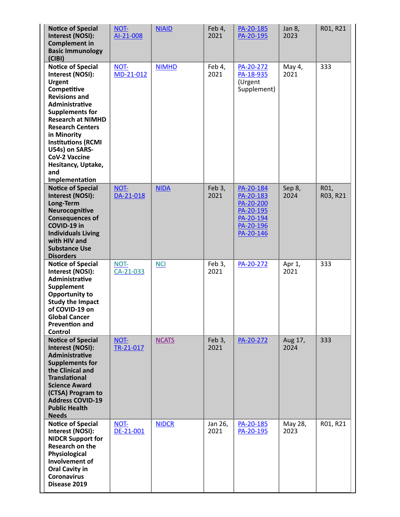| <b>Notice of Special</b><br>Interest (NOSI):<br><b>Complement in</b><br><b>Basic Immunology</b><br>(CIBI)                                                                                                                                                                                                                                    | NOT-<br>AI-21-008 | <b>NIAID</b> | Feb 4,<br>2021  | PA-20-185<br>PA-20-195                                                                  | Jan 8,<br>2023  | R01, R21         |
|----------------------------------------------------------------------------------------------------------------------------------------------------------------------------------------------------------------------------------------------------------------------------------------------------------------------------------------------|-------------------|--------------|-----------------|-----------------------------------------------------------------------------------------|-----------------|------------------|
| <b>Notice of Special</b><br>Interest (NOSI):<br><b>Urgent</b><br>Competitive<br><b>Revisions and</b><br>Administrative<br><b>Supplements for</b><br><b>Research at NIMHD</b><br><b>Research Centers</b><br>in Minority<br><b>Institutions (RCMI</b><br>U54s) on SARS-<br><b>CoV-2 Vaccine</b><br>Hesitancy, Uptake,<br>and<br>Implementation | NOT-<br>MD-21-012 | <b>NIMHD</b> | Feb 4,<br>2021  | PA-20-272<br>PA-18-935<br>(Urgent<br>Supplement)                                        | May 4,<br>2021  | 333              |
| <b>Notice of Special</b><br>Interest (NOSI):<br>Long-Term<br>Neurocognitive<br><b>Consequences of</b><br>COVID-19 in<br><b>Individuals Living</b><br>with HIV and<br><b>Substance Use</b><br><b>Disorders</b>                                                                                                                                | NOT-<br>DA-21-018 | <b>NIDA</b>  | Feb 3,<br>2021  | PA-20-184<br>PA-20-183<br>PA-20-200<br>PA-20-195<br>PA-20-194<br>PA-20-196<br>PA-20-146 | Sep 8,<br>2024  | R01,<br>R03, R21 |
| <b>Notice of Special</b><br>Interest (NOSI):<br>Administrative<br>Supplement<br><b>Opportunity to</b><br><b>Study the Impact</b><br>of COVID-19 on<br><b>Global Cancer</b><br><b>Prevention and</b><br>Control                                                                                                                               | NOT-<br>CA-21-033 | <b>NCI</b>   | Feb 3,<br>2021  | PA-20-272                                                                               | Apr 1,<br>2021  | 333              |
| <b>Notice of Special</b><br>Interest (NOSI):<br>Administrative<br><b>Supplements for</b><br>the Clinical and<br><b>Translational</b><br><b>Science Award</b><br>(CTSA) Program to<br><b>Address COVID-19</b><br><b>Public Health</b><br><b>Needs</b>                                                                                         | NOT-<br>TR-21-017 | <b>NCATS</b> | Feb 3,<br>2021  | PA-20-272                                                                               | Aug 17,<br>2024 | 333              |
| <b>Notice of Special</b><br>Interest (NOSI):<br><b>NIDCR Support for</b><br>Research on the<br>Physiological<br>Involvement of<br><b>Oral Cavity in</b><br><b>Coronavirus</b><br>Disease 2019                                                                                                                                                | NOT-<br>DE-21-001 | <b>NIDCR</b> | Jan 26,<br>2021 | PA-20-185<br>PA-20-195                                                                  | May 28,<br>2023 | R01, R21         |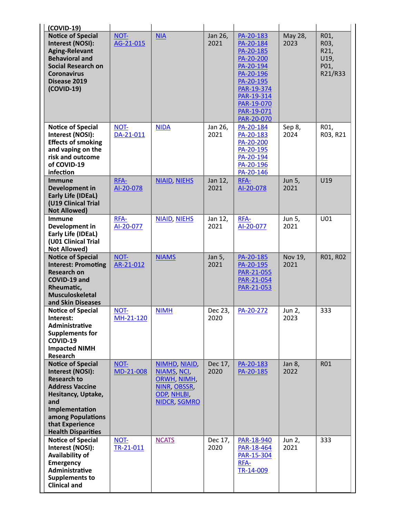| (COVID-19)<br><b>Notice of Special</b><br>Interest (NOSI):<br><b>Aging-Relevant</b><br><b>Behavioral and</b><br><b>Social Research on</b><br><b>Coronavirus</b><br>Disease 2019<br>(COVID-19)                    | NOT-<br>AG-21-015        | NIA                                                                                                             | Jan 26,<br>2021 | PA-20-183<br>PA-20-184<br>PA-20-185<br>PA-20-200<br>PA-20-194<br>PA-20-196<br>PA-20-195<br>PAR-19-374<br>PAR-19-314<br>PAR-19-070<br>PAR-19-071<br>PAR-20-070 | May 28,<br>2023 | R01,<br>R03,<br>R21,<br>U19,<br>P01,<br>R21/R33 |
|------------------------------------------------------------------------------------------------------------------------------------------------------------------------------------------------------------------|--------------------------|-----------------------------------------------------------------------------------------------------------------|-----------------|---------------------------------------------------------------------------------------------------------------------------------------------------------------|-----------------|-------------------------------------------------|
| <b>Notice of Special</b><br>Interest (NOSI):<br><b>Effects of smoking</b><br>and vaping on the<br>risk and outcome<br>of COVID-19<br>infection                                                                   | NOT-<br>DA-21-011        | <b>NIDA</b>                                                                                                     | Jan 26,<br>2021 | PA-20-184<br>PA-20-183<br>PA-20-200<br>PA-20-195<br>PA-20-194<br>PA-20-196<br>PA-20-146                                                                       | Sep 8,<br>2024  | R01,<br>R03, R21                                |
| <b>Immune</b><br>Development in<br>Early Life (IDEaL)<br>(U19 Clinical Trial<br><b>Not Allowed)</b>                                                                                                              | RFA-<br>AI-20-078        | <b>NIAID, NIEHS</b>                                                                                             | Jan 12,<br>2021 | RFA-<br>AI-20-078                                                                                                                                             | Jun 5,<br>2021  | U19                                             |
| <b>Immune</b><br>Development in<br>Early Life (IDEaL)<br>(U01 Clinical Trial<br><b>Not Allowed)</b>                                                                                                              | RFA-<br>AI-20-077        | <b>NIAID, NIEHS</b>                                                                                             | Jan 12,<br>2021 | RFA-<br>AI-20-077                                                                                                                                             | Jun 5,<br>2021  | U01                                             |
| <b>Notice of Special</b><br><b>Interest: Promoting</b><br><b>Research on</b><br>COVID-19 and<br>Rheumatic,<br><b>Musculoskeletal</b><br>and Skin Diseases                                                        | NOT-<br>AR-21-012        | <b>NIAMS</b>                                                                                                    | Jan 5,<br>2021  | PA-20-185<br>PA-20-195<br>PAR-21-055<br>PAR-21-054<br>PAR-21-053                                                                                              | Nov 19,<br>2021 | R01, R02                                        |
| <b>Notice of Special</b><br>Interest:<br>Administrative<br><b>Supplements for</b><br>COVID-19<br><b>Impacted NIMH</b><br>Research                                                                                | NOT-<br>MH-21-120        | <b>NIMH</b>                                                                                                     | Dec 23,<br>2020 | PA-20-272                                                                                                                                                     | Jun 2,<br>2023  | 333                                             |
| <b>Notice of Special</b><br>Interest (NOSI):<br><b>Research to</b><br><b>Address Vaccine</b><br>Hesitancy, Uptake,<br>and<br>Implementation<br>among Populations<br>that Experience<br><b>Health Disparities</b> | <b>NOT-</b><br>MD-21-008 | NIMHD, NIAID,<br>NIAMS <sub>NCI</sub><br>ORWH, NIMH<br><b>NINR, OBSSR,</b><br>ODP, NHLBI<br><b>NIDCR, SGMRO</b> | Dec 17,<br>2020 | PA-20-183<br>PA-20-185                                                                                                                                        | Jan 8,<br>2022  | R01                                             |
| <b>Notice of Special</b><br>Interest (NOSI):<br><b>Availability of</b><br><b>Emergency</b><br>Administrative<br><b>Supplements to</b><br><b>Clinical and</b>                                                     | NOT-<br>TR-21-011        | <b>NCATS</b>                                                                                                    | Dec 17,<br>2020 | PAR-18-940<br>PAR-18-464<br>PAR-15-304<br>RFA-<br>TR-14-009                                                                                                   | Jun 2,<br>2021  | 333                                             |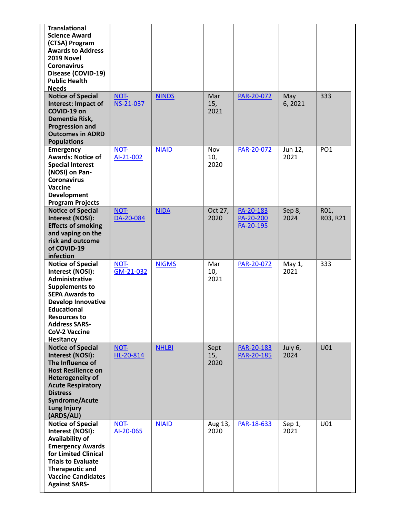| <b>Translational</b><br><b>Science Award</b><br>(CTSA) Program<br><b>Awards to Address</b><br>2019 Novel<br><b>Coronavirus</b><br>Disease (COVID-19)<br><b>Public Health</b><br><b>Needs</b>                                                                   |                   |              |                     |                                     |                 |                  |
|----------------------------------------------------------------------------------------------------------------------------------------------------------------------------------------------------------------------------------------------------------------|-------------------|--------------|---------------------|-------------------------------------|-----------------|------------------|
| <b>Notice of Special</b><br>Interest: Impact of<br>COVID-19 on<br>Dementia Risk,<br><b>Progression and</b><br><b>Outcomes in ADRD</b><br><b>Populations</b>                                                                                                    | NOT-<br>NS-21-037 | <b>NINDS</b> | Mar<br>15,<br>2021  | PAR-20-072                          | May<br>6,2021   | 333              |
| <b>Emergency</b><br><b>Awards: Notice of</b><br><b>Special Interest</b><br>(NOSI) on Pan-<br><b>Coronavirus</b><br><b>Vaccine</b><br><b>Development</b><br><b>Program Projects</b>                                                                             | NOT-<br>Al-21-002 | <b>NIAID</b> | Nov<br>10,<br>2020  | PAR-20-072                          | Jun 12,<br>2021 | PO <sub>1</sub>  |
| <b>Notice of Special</b><br>Interest (NOSI):<br><b>Effects of smoking</b><br>and vaping on the<br>risk and outcome<br>of COVID-19<br>infection                                                                                                                 | NOT-<br>DA-20-084 | <b>NIDA</b>  | Oct 27,<br>2020     | PA-20-183<br>PA-20-200<br>PA-20-195 | Sep 8,<br>2024  | R01,<br>R03, R21 |
| <b>Notice of Special</b><br>Interest (NOSI):<br>Administrative<br><b>Supplements to</b><br><b>SEPA Awards to</b><br><b>Develop Innovative</b><br><b>Educational</b><br><b>Resources to</b><br><b>Address SARS-</b><br><b>CoV-2 Vaccine</b><br><b>Hesitancy</b> | NOT-<br>GM-21-032 | <b>NIGMS</b> | Mar<br>10,<br>2021  | PAR-20-072                          | May 1,<br>2021  | 333              |
| <b>Notice of Special</b><br>Interest (NOSI):<br>The Influence of<br><b>Host Resilience on</b><br><b>Heterogeneity of</b><br><b>Acute Respiratory</b><br><b>Distress</b><br><b>Syndrome/Acute</b><br><b>Lung Injury</b><br>(ARDS/ALI)                           | NOT-<br>HL-20-814 | <b>NHLBI</b> | Sept<br>15,<br>2020 | PAR-20-183<br>PAR-20-185            | July 6,<br>2024 | U01              |
| <b>Notice of Special</b><br>Interest (NOSI):<br><b>Availability of</b><br><b>Emergency Awards</b><br>for Limited Clinical<br><b>Trials to Evaluate</b><br>Therapeutic and<br><b>Vaccine Candidates</b><br><b>Against SARS-</b>                                 | NOT-<br>AI-20-065 | <b>NIAID</b> | Aug 13,<br>2020     | PAR-18-633                          | Sep 1,<br>2021  | U01              |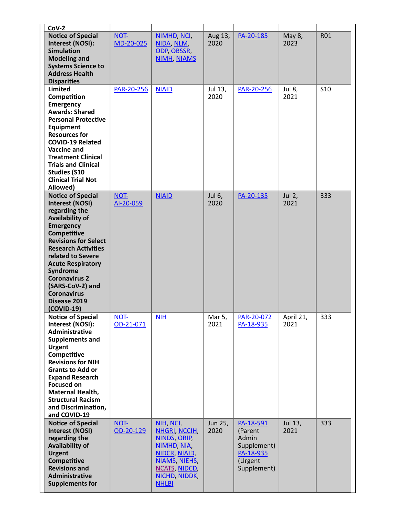| $Cov-2$                                                                                                                                                                                                                                                                                                                                                    |                   |                                                                                                                                                             |                 |                                                                                     |                   |            |
|------------------------------------------------------------------------------------------------------------------------------------------------------------------------------------------------------------------------------------------------------------------------------------------------------------------------------------------------------------|-------------------|-------------------------------------------------------------------------------------------------------------------------------------------------------------|-----------------|-------------------------------------------------------------------------------------|-------------------|------------|
| <b>Notice of Special</b><br>Interest (NOSI):<br><b>Simulation</b><br><b>Modeling and</b><br><b>Systems Science to</b><br><b>Address Health</b><br><b>Disparities</b>                                                                                                                                                                                       | NOT-<br>MD-20-025 | NIMHD, NCI<br>NIDA NLM,<br>ODP, OBSSR,<br><b>NIMH, NIAMS</b>                                                                                                | Aug 13,<br>2020 | PA-20-185                                                                           | May 8,<br>2023    | <b>R01</b> |
| <b>Limited</b><br>Competition<br><b>Emergency</b><br><b>Awards: Shared</b><br><b>Personal Protective</b><br>Equipment<br><b>Resources for</b><br><b>COVID-19 Related</b><br><b>Vaccine and</b><br><b>Treatment Clinical</b><br><b>Trials and Clinical</b><br><b>Studies (S10</b><br><b>Clinical Trial Not</b><br>Allowed)                                  | PAR-20-256        | <b>NIAID</b>                                                                                                                                                | Jul 13,<br>2020 | PAR-20-256                                                                          | Jul 8,<br>2021    | <b>S10</b> |
| <b>Notice of Special</b><br><b>Interest (NOSI)</b><br>regarding the<br><b>Availability of</b><br><b>Emergency</b><br>Competitive<br><b>Revisions for Select</b><br><b>Research Activities</b><br>related to Severe<br><b>Acute Respiratory</b><br>Syndrome<br><b>Coronavirus 2</b><br>(SARS-CoV-2) and<br><b>Coronavirus</b><br>Disease 2019<br>(COVID-19) | NOT-<br>Al-20-059 | <b>NIAID</b>                                                                                                                                                | Jul 6,<br>2020  | PA-20-135                                                                           | Jul $2,$<br>2021  | 333        |
| <b>Notice of Special</b><br>Interest (NOSI):<br>Administrative<br><b>Supplements and</b><br><b>Urgent</b><br>Competitive<br><b>Revisions for NIH</b><br><b>Grants to Add or</b><br><b>Expand Research</b><br><b>Focused on</b><br>Maternal Health,<br><b>Structural Racism</b><br>and Discrimination,<br>and COVID-19                                      | NOT-<br>OD-21-071 | NIH                                                                                                                                                         | Mar 5,<br>2021  | PAR-20-072<br>PA-18-935                                                             | April 21,<br>2021 | 333        |
| <b>Notice of Special</b><br><b>Interest (NOSI)</b><br>regarding the<br><b>Availability of</b><br><b>Urgent</b><br>Competitive<br><b>Revisions and</b><br>Administrative<br><b>Supplements for</b>                                                                                                                                                          | NOT-<br>OD-20-129 | NIH, NCI,<br>NHGRI, NCCIH,<br><b>NINDS, ORIP,</b><br>NIMHD, NIA,<br>NIDCR, NIAID,<br>NIAMS, NIEHS,<br><b>NCATS, NIDCD,</b><br>NICHD, NIDDK,<br><b>NHLBI</b> | Jun 25,<br>2020 | PA-18-591<br>(Parent<br>Admin<br>Supplement)<br>PA-18-935<br>(Urgent<br>Supplement) | Jul 13,<br>2021   | 333        |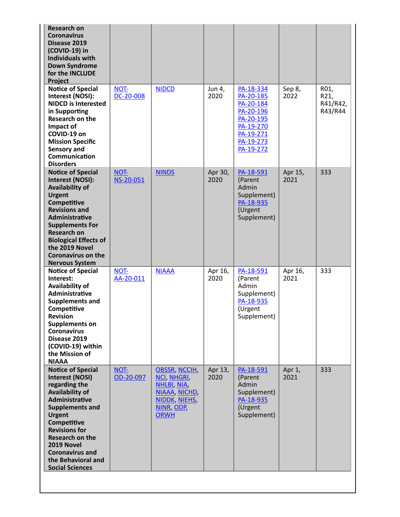| <b>Research on</b><br><b>Coronavirus</b><br>Disease 2019<br>(COVID-19) in<br><b>Individuals with</b><br><b>Down Syndrome</b><br>for the INCLUDE<br>Project                                                                                                                                                      |                   |                                                                                                                              |                 |                                                                                                                   |                 |                                     |
|-----------------------------------------------------------------------------------------------------------------------------------------------------------------------------------------------------------------------------------------------------------------------------------------------------------------|-------------------|------------------------------------------------------------------------------------------------------------------------------|-----------------|-------------------------------------------------------------------------------------------------------------------|-----------------|-------------------------------------|
| <b>Notice of Special</b><br>Interest (NOSI):<br><b>NIDCD is Interested</b><br>in Supporting<br><b>Research on the</b><br>Impact of<br>COVID-19 on<br><b>Mission Specific</b><br>Sensory and<br>Communication<br><b>Disorders</b>                                                                                | NOT-<br>DC-20-008 | <b>NIDCD</b>                                                                                                                 | Jun 4,<br>2020  | PA-18-334<br>PA-20-185<br>PA-20-184<br>PA-20-196<br>PA-20-195<br>PA-19-270<br>PA-19-271<br>PA-19-273<br>PA-19-272 | Sep 8,<br>2022  | R01,<br>R21,<br>R41/R42,<br>R43/R44 |
| <b>Notice of Special</b><br>Interest (NOSI):<br><b>Availability of</b><br><b>Urgent</b><br>Competitive<br><b>Revisions and</b><br><b>Administrative</b><br><b>Supplements For</b><br><b>Research on</b><br><b>Biological Effects of</b><br>the 2019 Novel<br><b>Coronavirus on the</b><br><b>Nervous System</b> | NOT-<br>NS-20-051 | <b>NINDS</b>                                                                                                                 | Apr 30,<br>2020 | PA-18-591<br>(Parent<br>Admin<br>Supplement)<br>PA-18-935<br>(Urgent<br>Supplement)                               | Apr 15,<br>2021 | 333                                 |
| <b>Notice of Special</b><br>Interest:<br>Availability of<br>Administrative<br><b>Supplements and</b><br>Competitive<br><b>Revision</b><br><b>Supplements on</b><br><b>Coronavirus</b><br>Disease 2019<br>(COVID-19) within<br>the Mission of<br><b>NIAAA</b>                                                    | NOT-<br>AA-20-011 | <b>NIAAA</b>                                                                                                                 | Apr 16,<br>2020 | PA-18-591<br>(Parent<br>Admin<br>Supplement)<br>PA-18-935<br>(Urgent<br>Supplement)                               | Apr 16,<br>2021 | 333                                 |
| <b>Notice of Special</b><br>Interest (NOSI)<br>regarding the<br><b>Availability of</b><br>Administrative<br><b>Supplements and</b><br><b>Urgent</b><br>Competitive<br><b>Revisions for</b><br><b>Research on the</b><br>2019 Novel<br><b>Coronavirus and</b><br>the Behavioral and<br><b>Social Sciences</b>    | NOT-<br>OD-20-097 | <b>OBSSR, NCCIH</b><br><b>NCI, NHGRI,</b><br>NHLBI, NIA,<br>NIAAA, NICHD,<br>NIDDK, NIEHS,<br><b>NINR ODP</b><br><b>ORWH</b> | Apr 13,<br>2020 | PA-18-591<br>(Parent<br>Admin<br>Supplement)<br>PA-18-935<br>(Urgent<br>Supplement)                               | Apr 1,<br>2021  | 333                                 |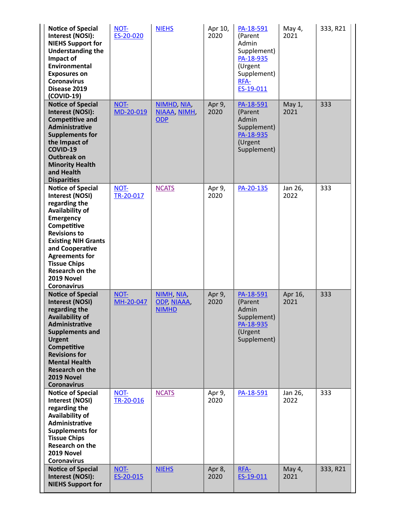| <b>Notice of Special</b><br>Interest (NOSI):<br><b>NIEHS Support for</b><br><b>Understanding the</b><br>Impact of<br>Environmental<br><b>Exposures on</b><br><b>Coronavirus</b><br>Disease 2019<br>(COVID-19)                                                                                     | NOT-<br>ES-20-020 | <b>NIEHS</b>                                  | Apr 10,<br>2020 | PA-18-591<br>(Parent<br>Admin<br>Supplement)<br>PA-18-935<br>(Urgent<br>Supplement)<br>RFA-<br>ES-19-011 | May 4,<br>2021  | 333, R21 |
|---------------------------------------------------------------------------------------------------------------------------------------------------------------------------------------------------------------------------------------------------------------------------------------------------|-------------------|-----------------------------------------------|-----------------|----------------------------------------------------------------------------------------------------------|-----------------|----------|
| <b>Notice of Special</b><br>Interest (NOSI):<br><b>Competitive and</b><br><b>Administrative</b><br><b>Supplements for</b><br>the Impact of<br>COVID-19<br><b>Outbreak on</b><br><b>Minority Health</b><br>and Health<br><b>Disparities</b>                                                        | NOT-<br>MD-20-019 | NIMHD NIA<br>NIAAA, NIMH<br><b>ODP</b>        | Apr 9,<br>2020  | PA-18-591<br>(Parent<br>Admin<br>Supplement)<br>PA-18-935<br>(Urgent<br>Supplement)                      | May 1,<br>2021  | 333      |
| <b>Notice of Special</b><br>Interest (NOSI)<br>regarding the<br>Availability of<br><b>Emergency</b><br>Competitive<br><b>Revisions to</b><br><b>Existing NIH Grants</b><br>and Cooperative<br><b>Agreements for</b><br><b>Tissue Chips</b><br>Research on the<br>2019 Novel<br><b>Coronavirus</b> | NOT-<br>TR-20-017 | <b>NCATS</b>                                  | Apr 9,<br>2020  | PA-20-135                                                                                                | Jan 26,<br>2022 | 333      |
| <b>Notice of Special</b><br><b>Interest (NOSI)</b><br>regarding the<br><b>Availability of</b><br>Administrative<br><b>Supplements and</b><br><b>Urgent</b><br>Competitive<br><b>Revisions for</b><br><b>Mental Health</b><br><b>Research on the</b><br>2019 Novel<br><b>Coronavirus</b>           | NOT-<br>MH-20-047 | NIMH, NIA<br><b>ODP NIAAA</b><br><b>NIMHD</b> | Apr 9,<br>2020  | PA-18-591<br>(Parent<br>Admin<br>Supplement)<br>PA-18-935<br>(Urgent<br>Supplement)                      | Apr 16,<br>2021 | 333      |
| <b>Notice of Special</b><br>Interest (NOSI)<br>regarding the<br><b>Availability of</b><br>Administrative<br><b>Supplements for</b><br><b>Tissue Chips</b><br>Research on the<br>2019 Novel<br><b>Coronavirus</b>                                                                                  | NOT-<br>TR-20-016 | <b>NCATS</b>                                  | Apr 9,<br>2020  | PA-18-591                                                                                                | Jan 26,<br>2022 | 333      |
| <b>Notice of Special</b><br>Interest (NOSI):<br><b>NIEHS Support for</b>                                                                                                                                                                                                                          | NOT-<br>ES-20-015 | <b>NIEHS</b>                                  | Apr 8,<br>2020  | RFA-<br>ES-19-011                                                                                        | May 4,<br>2021  | 333, R21 |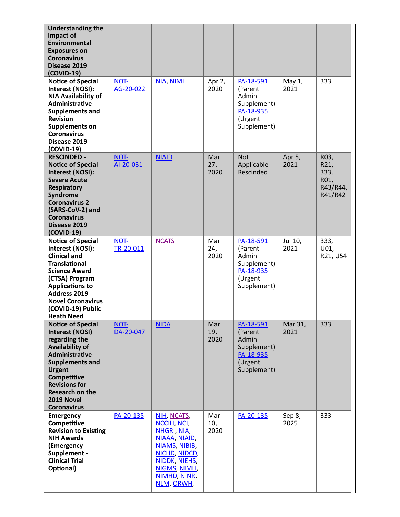| <b>Understanding the</b><br>Impact of<br><b>Environmental</b><br><b>Exposures on</b><br><b>Coronavirus</b><br>Disease 2019<br>$(COVID-19)$                                                                                                                      |                   |                                                                                                                                                                    |                    |                                                                                            |                 |                                                     |
|-----------------------------------------------------------------------------------------------------------------------------------------------------------------------------------------------------------------------------------------------------------------|-------------------|--------------------------------------------------------------------------------------------------------------------------------------------------------------------|--------------------|--------------------------------------------------------------------------------------------|-----------------|-----------------------------------------------------|
| <b>Notice of Special</b><br>Interest (NOSI):<br><b>NIA Availability of</b><br>Administrative<br><b>Supplements and</b><br><b>Revision</b><br><b>Supplements on</b><br><b>Coronavirus</b><br>Disease 2019<br>(COVID-19)                                          | NOT-<br>AG-20-022 | NIA, NIMH                                                                                                                                                          | Apr 2,<br>2020     | PA-18-591<br>(Parent<br>Admin<br>Supplement)<br>PA-18-935<br>(Urgent<br>Supplement)        | May 1,<br>2021  | 333                                                 |
| <b>RESCINDED -</b><br><b>Notice of Special</b><br>Interest (NOSI):<br><b>Severe Acute</b><br><b>Respiratory</b><br>Syndrome<br><b>Coronavirus 2</b><br>(SARS-CoV-2) and<br><b>Coronavirus</b><br>Disease 2019<br>(COVID-19)                                     | NOT-<br>AI-20-031 | <b>NIAID</b>                                                                                                                                                       | Mar<br>27,<br>2020 | <b>Not</b><br>Applicable-<br>Rescinded                                                     | Apr 5,<br>2021  | R03,<br>R21,<br>333,<br>R01,<br>R43/R44,<br>R41/R42 |
| <b>Notice of Special</b><br>Interest (NOSI):<br><b>Clinical and</b><br><b>Translational</b><br><b>Science Award</b><br>(CTSA) Program<br><b>Applications to</b><br><b>Address 2019</b><br><b>Novel Coronavirus</b><br>(COVID-19) Public<br><b>Heath Need</b>    | NOT-<br>TR-20-011 | <b>NCATS</b>                                                                                                                                                       | Mar<br>24,<br>2020 | PA-18-591<br>(Parent<br><b>Admin</b><br>Supplement)<br>PA-18-935<br>(Urgent<br>Supplement) | Jul 10,<br>2021 | 333,<br>U01,<br>R21, U54                            |
| <b>Notice of Special</b><br><b>Interest (NOSI)</b><br>regarding the<br><b>Availability of</b><br>Administrative<br><b>Supplements and</b><br><b>Urgent</b><br>Competitive<br><b>Revisions for</b><br><b>Research on the</b><br>2019 Novel<br><b>Coronavirus</b> | NOT-<br>DA-20-047 | <b>NIDA</b>                                                                                                                                                        | Mar<br>19,<br>2020 | PA-18-591<br>(Parent<br>Admin<br>Supplement)<br>PA-18-935<br>(Urgent<br>Supplement)        | Mar 31,<br>2021 | 333                                                 |
| <b>Emergency</b><br>Competitive<br><b>Revision to Existing</b><br><b>NIH Awards</b><br>(Emergency<br>Supplement -<br><b>Clinical Trial</b><br>Optional)                                                                                                         | PA-20-135         | NIH, NCATS,<br><b>NCCIH, NCI,</b><br>NHGRI, NIA,<br>NIAAA, NIAID,<br>NIAMS, NIBIB,<br>NICHD, NIDCD,<br>NIDDK, NIEHS,<br>NIGMS, NIMH,<br>NIMHD, NINR,<br>NLM, ORWH, | Mar<br>10,<br>2020 | PA-20-135                                                                                  | Sep 8,<br>2025  | 333                                                 |